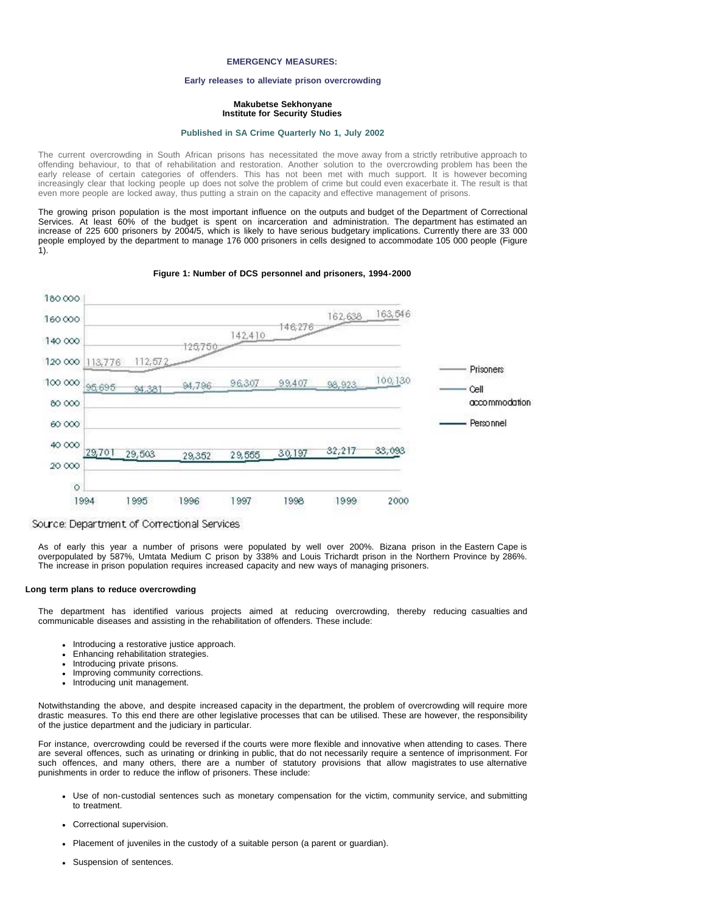# **EMERGENCY MEASURES:**

### **Early releases to alleviate prison overcrowding**

### **Makubetse Sekhonyane Institute for Security Studies**

#### **[Published in SA Crime Quarterly No 1, July 2002](file:///Volumes/ISS%20Website/issafrica.org%202007-05-31/CrimeQ/No.1/Contents.html)**

The current overcrowding in South African prisons has necessitated the move away from a strictly retributive approach to offending behaviour, to that of rehabilitation and restoration. Another solution to the overcrowding problem has been the early release of certain categories of offenders. This has not been met with much support. It is however becoming increasingly clear that locking people up does not solve the problem of crime but could even exacerbate it. The result is that even more people are locked away, thus putting a strain on the capacity and effective management of prisons.

The growing prison population is the most important influence on the outputs and budget of the Department of Correctional Services. At least 60% of the budget is spent on incarceration and administration. The department has estimated an increase of 225 600 prisoners by 2004/5, which is likely to have serious budgetary implications. Currently there are 33 000 people employed by the department to manage 176 000 prisoners in cells designed to accommodate 105 000 people (Figure 1).



## **Figure 1: Number of DCS personnel and prisoners, 1994-2000**

As of early this year a number of prisons were populated by well over 200%. Bizana prison in the Eastern Cape is overpopulated by 587%, Umtata Medium C prison by 338% and Louis Trichardt prison in the Northern Province by 286%. The increase in prison population requires increased capacity and new ways of managing prisoners.

#### **Long term plans to reduce overcrowding**

The department has identified various projects aimed at reducing overcrowding, thereby reducing casualties and communicable diseases and assisting in the rehabilitation of offenders. These include:

- Introducing a restorative justice approach.
- Enhancing rehabilitation strategies.
- Introducing private prisons.
- Improving community corrections.
- $\bullet$ Introducing unit management.

Notwithstanding the above, and despite increased capacity in the department, the problem of overcrowding will require more drastic measures. To this end there are other legislative processes that can be utilised. These are however, the responsibility of the justice department and the judiciary in particular.

For instance, overcrowding could be reversed if the courts were more flexible and innovative when attending to cases. There are several offences, such as urinating or drinking in public, that do not necessarily require a sentence of imprisonment. For such offences, and many others, there are a number of statutory provisions that allow magistrates to use alternative punishments in order to reduce the inflow of prisoners. These include:

- Use of non-custodial sentences such as monetary compensation for the victim, community service, and submitting to treatment.
- Correctional supervision.
- Placement of juveniles in the custody of a suitable person (a parent or guardian).
- Suspension of sentences.

Source: Department of Correctional Services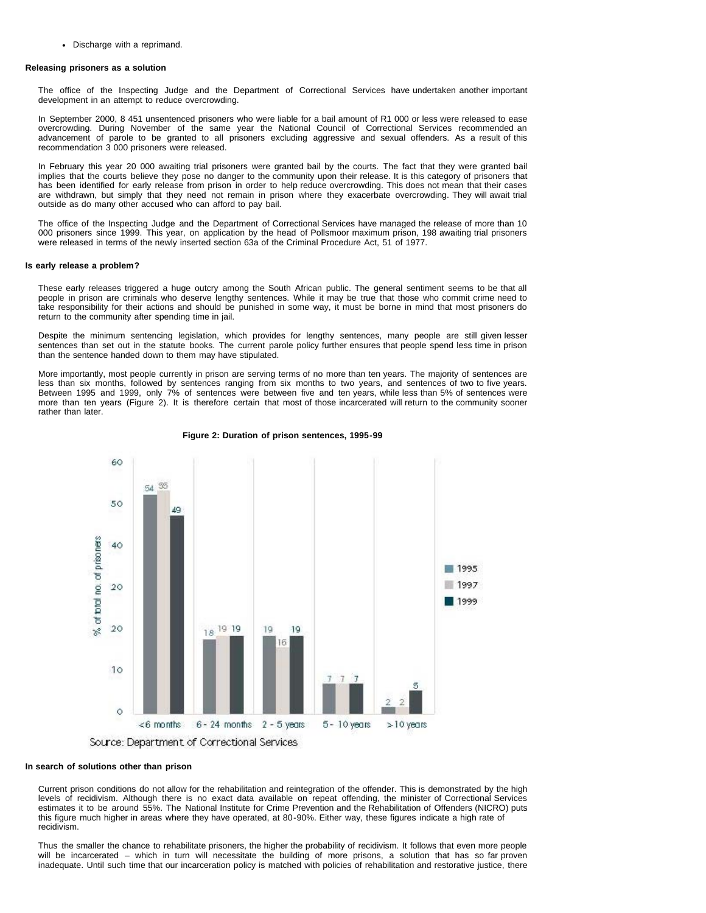Discharge with a reprimand.

# **Releasing prisoners as a solution**

The office of the Inspecting Judge and the Department of Correctional Services have undertaken another important development in an attempt to reduce overcrowding.

In September 2000, 8 451 unsentenced prisoners who were liable for a bail amount of R1 000 or less were released to ease overcrowding. During November of the same year the National Council of Correctional Services recommended an advancement of parole to be granted to all prisoners excluding aggressive and sexual offenders. As a result of this recommendation 3 000 prisoners were released.

In February this year 20 000 awaiting trial prisoners were granted bail by the courts. The fact that they were granted bail implies that the courts believe they pose no danger to the community upon their release. It is this category of prisoners that has been identified for early release from prison in order to help reduce overcrowding. This does not mean that their cases are withdrawn, but simply that they need not remain in prison where they exacerbate overcrowding. They will await trial outside as do many other accused who can afford to pay bail.

The office of the Inspecting Judge and the Department of Correctional Services have managed the release of more than 10 000 prisoners since 1999. This year, on application by the head of Pollsmoor maximum prison, 198 awaiting trial prisoners were released in terms of the newly inserted section 63a of the Criminal Procedure Act, 51 of 1977.

### **Is early release a problem?**

These early releases triggered a huge outcry among the South African public. The general sentiment seems to be that all people in prison are criminals who deserve lengthy sentences. While it may be true that those who commit crime need to take responsibility for their actions and should be punished in some way, it must be borne in mind that most prisoners do return to the community after spending time in jail.

Despite the minimum sentencing legislation, which provides for lengthy sentences, many people are still given lesser sentences than set out in the statute books. The current parole policy further ensures that people spend less time in prison than the sentence handed down to them may have stipulated.

More importantly, most people currently in prison are serving terms of no more than ten years. The majority of sentences are less than six months, followed by sentences ranging from six months to two years, and sentences of two to five years. Between 1995 and 1999, only 7% of sentences were between five and ten years, while less than 5% of sentences were more than ten years (Figure 2). It is therefore certain that most of those incarcerated will return to the community sooner rather than later.



#### **Figure 2: Duration of prison sentences, 1995-99**

# **In search of solutions other than prison**

Current prison conditions do not allow for the rehabilitation and reintegration of the offender. This is demonstrated by the high levels of recidivism. Although there is no exact data available on repeat offending, the minister of Correctional Services estimates it to be around 55%. The National Institute for Crime Prevention and the Rehabilitation of Offenders (NICRO) puts this figure much higher in areas where they have operated, at 80-90%. Either way, these figures indicate a high rate of recidivism.

Thus the smaller the chance to rehabilitate prisoners, the higher the probability of recidivism. It follows that even more people will be incarcerated – which in turn will necessitate the building of more prisons, a solution that has so far proven inadequate. Until such time that our incarceration policy is matched with policies of rehabilitation and restorative justice, there